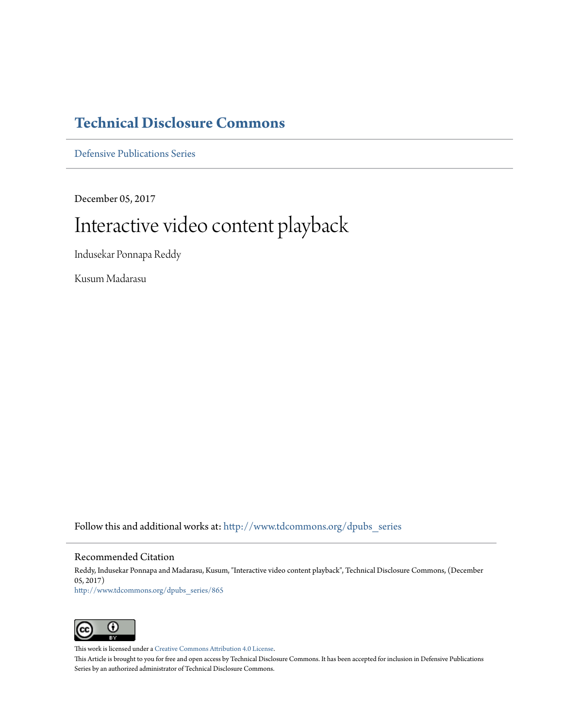# **[Technical Disclosure Commons](http://www.tdcommons.org?utm_source=www.tdcommons.org%2Fdpubs_series%2F865&utm_medium=PDF&utm_campaign=PDFCoverPages)**

[Defensive Publications Series](http://www.tdcommons.org/dpubs_series?utm_source=www.tdcommons.org%2Fdpubs_series%2F865&utm_medium=PDF&utm_campaign=PDFCoverPages)

December 05, 2017

# Interactive video content playback

Indusekar Ponnapa Reddy

Kusum Madarasu

Follow this and additional works at: [http://www.tdcommons.org/dpubs\\_series](http://www.tdcommons.org/dpubs_series?utm_source=www.tdcommons.org%2Fdpubs_series%2F865&utm_medium=PDF&utm_campaign=PDFCoverPages)

# Recommended Citation

Reddy, Indusekar Ponnapa and Madarasu, Kusum, "Interactive video content playback", Technical Disclosure Commons, (December 05, 2017) [http://www.tdcommons.org/dpubs\\_series/865](http://www.tdcommons.org/dpubs_series/865?utm_source=www.tdcommons.org%2Fdpubs_series%2F865&utm_medium=PDF&utm_campaign=PDFCoverPages)



This work is licensed under a [Creative Commons Attribution 4.0 License.](http://creativecommons.org/licenses/by/4.0/deed.en_US)

This Article is brought to you for free and open access by Technical Disclosure Commons. It has been accepted for inclusion in Defensive Publications Series by an authorized administrator of Technical Disclosure Commons.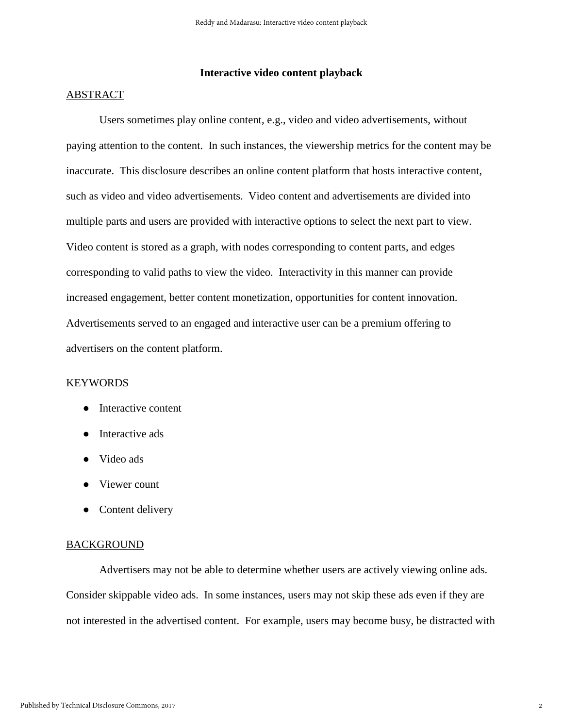# **Interactive video content playback**

#### ABSTRACT

Users sometimes play online content, e.g., video and video advertisements, without paying attention to the content. In such instances, the viewership metrics for the content may be inaccurate. This disclosure describes an online content platform that hosts interactive content, such as video and video advertisements. Video content and advertisements are divided into multiple parts and users are provided with interactive options to select the next part to view. Video content is stored as a graph, with nodes corresponding to content parts, and edges corresponding to valid paths to view the video. Interactivity in this manner can provide increased engagement, better content monetization, opportunities for content innovation. Advertisements served to an engaged and interactive user can be a premium offering to advertisers on the content platform.

#### KEYWORDS

- Interactive content
- Interactive ads
- Video ads
- Viewer count
- Content delivery

## **BACKGROUND**

Advertisers may not be able to determine whether users are actively viewing online ads. Consider skippable video ads. In some instances, users may not skip these ads even if they are not interested in the advertised content. For example, users may become busy, be distracted with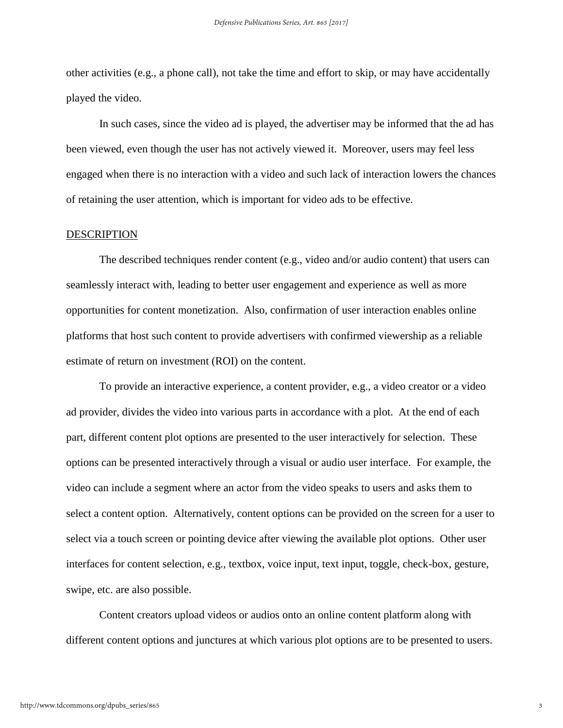other activities (e.g., a phone call), not take the time and effort to skip, or may have accidentally played the video.

In such cases, since the video ad is played, the advertiser may be informed that the ad has been viewed, even though the user has not actively viewed it. Moreover, users may feel less engaged when there is no interaction with a video and such lack of interaction lowers the chances of retaining the user attention, which is important for video ads to be effective.

#### **DESCRIPTION**

The described techniques render content (e.g., video and/or audio content) that users can seamlessly interact with, leading to better user engagement and experience as well as more opportunities for content monetization. Also, confirmation of user interaction enables online platforms that host such content to provide advertisers with confirmed viewership as a reliable estimate of return on investment (ROI) on the content.

To provide an interactive experience, a content provider, e.g., a video creator or a video ad provider, divides the video into various parts in accordance with a plot. At the end of each part, different content plot options are presented to the user interactively for selection. These options can be presented interactively through a visual or audio user interface. For example, the video can include a segment where an actor from the video speaks to users and asks them to select a content option. Alternatively, content options can be provided on the screen for a user to select via a touch screen or pointing device after viewing the available plot options. Other user interfaces for content selection, e.g., textbox, voice input, text input, toggle, check-box, gesture, swipe, etc. are also possible.

Content creators upload videos or audios onto an online content platform along with different content options and junctures at which various plot options are to be presented to users.

3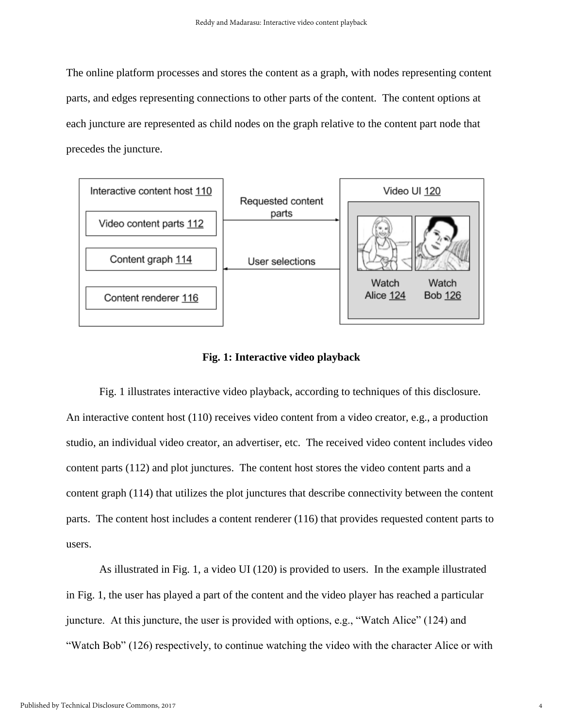The online platform processes and stores the content as a graph, with nodes representing content parts, and edges representing connections to other parts of the content. The content options at each juncture are represented as child nodes on the graph relative to the content part node that precedes the juncture.



# **Fig. 1: Interactive video playback**

Fig. 1 illustrates interactive video playback, according to techniques of this disclosure. An interactive content host (110) receives video content from a video creator, e.g., a production studio, an individual video creator, an advertiser, etc. The received video content includes video content parts (112) and plot junctures. The content host stores the video content parts and a content graph (114) that utilizes the plot junctures that describe connectivity between the content parts. The content host includes a content renderer (116) that provides requested content parts to users.

As illustrated in Fig. 1, a video UI (120) is provided to users. In the example illustrated in Fig. 1, the user has played a part of the content and the video player has reached a particular juncture. At this juncture, the user is provided with options, e.g., "Watch Alice" (124) and "Watch Bob" (126) respectively, to continue watching the video with the character Alice or with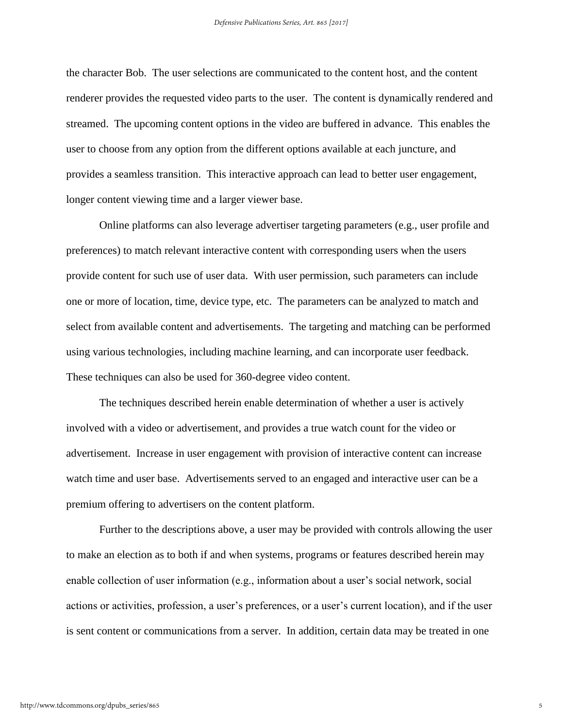the character Bob. The user selections are communicated to the content host, and the content renderer provides the requested video parts to the user. The content is dynamically rendered and streamed. The upcoming content options in the video are buffered in advance. This enables the user to choose from any option from the different options available at each juncture, and provides a seamless transition. This interactive approach can lead to better user engagement, longer content viewing time and a larger viewer base.

Online platforms can also leverage advertiser targeting parameters (e.g., user profile and preferences) to match relevant interactive content with corresponding users when the users provide content for such use of user data. With user permission, such parameters can include one or more of location, time, device type, etc. The parameters can be analyzed to match and select from available content and advertisements. The targeting and matching can be performed using various technologies, including machine learning, and can incorporate user feedback. These techniques can also be used for 360-degree video content.

The techniques described herein enable determination of whether a user is actively involved with a video or advertisement, and provides a true watch count for the video or advertisement. Increase in user engagement with provision of interactive content can increase watch time and user base. Advertisements served to an engaged and interactive user can be a premium offering to advertisers on the content platform.

Further to the descriptions above, a user may be provided with controls allowing the user to make an election as to both if and when systems, programs or features described herein may enable collection of user information (e.g., information about a user's social network, social actions or activities, profession, a user's preferences, or a user's current location), and if the user is sent content or communications from a server. In addition, certain data may be treated in one

5